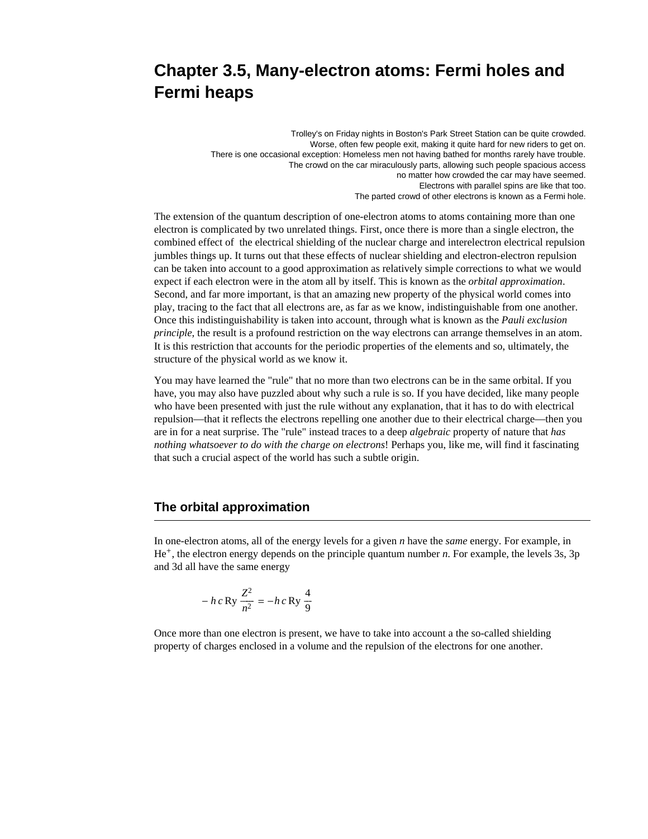# **Chapter 3.5, Many-electron atoms: Fermi holes and Fermi heaps**

Trolley's on Friday nights in Boston's Park Street Station can be quite crowded. Worse, often few people exit, making it quite hard for new riders to get on. There is one occasional exception: Homeless men not having bathed for months rarely have trouble. The crowd on the car miraculously parts, allowing such people spacious access no matter how crowded the car may have seemed. Electrons with parallel spins are like that too. The parted crowd of other electrons is known as a Fermi hole.

The extension of the quantum description of one-electron atoms to atoms containing more than one electron is complicated by two unrelated things. First, once there is more than a single electron, the combined effect of the electrical shielding of the nuclear charge and interelectron electrical repulsion jumbles things up. It turns out that these effects of nuclear shielding and electron-electron repulsion can be taken into account to a good approximation as relatively simple corrections to what we would expect if each electron were in the atom all by itself. This is known as the *orbital approximation*. Second, and far more important, is that an amazing new property of the physical world comes into play, tracing to the fact that all electrons are, as far as we know, indistinguishable from one another. Once this indistinguishability is taken into account, through what is known as the *Pauli exclusion principle*, the result is a profound restriction on the way electrons can arrange themselves in an atom. It is this restriction that accounts for the periodic properties of the elements and so, ultimately, the structure of the physical world as we know it.

You may have learned the "rule" that no more than two electrons can be in the same orbital. If you have, you may also have puzzled about why such a rule is so. If you have decided, like many people who have been presented with just the rule without any explanation, that it has to do with electrical repulsion—that it reflects the electrons repelling one another due to their electrical charge—then you are in for a neat surprise. The "rule" instead traces to a deep *algebraic* property of nature that *has nothing whatsoever to do with the charge on electrons*! Perhaps you, like me, will find it fascinating that such a crucial aspect of the world has such a subtle origin.

#### **The orbital approximation**

In one-electron atoms, all of the energy levels for a given *n* have the *same* energy. For example, in He<sup>+</sup>, the electron energy depends on the principle quantum number *n*. For example, the levels 3s, 3p and 3d all have the same energy

$$
- h c \,\text{Ry} \,\frac{Z^2}{n^2} = - h c \,\text{Ry} \,\frac{4}{9}
$$

Once more than one electron is present, we have to take into account a the so-called shielding property of charges enclosed in a volume and the repulsion of the electrons for one another.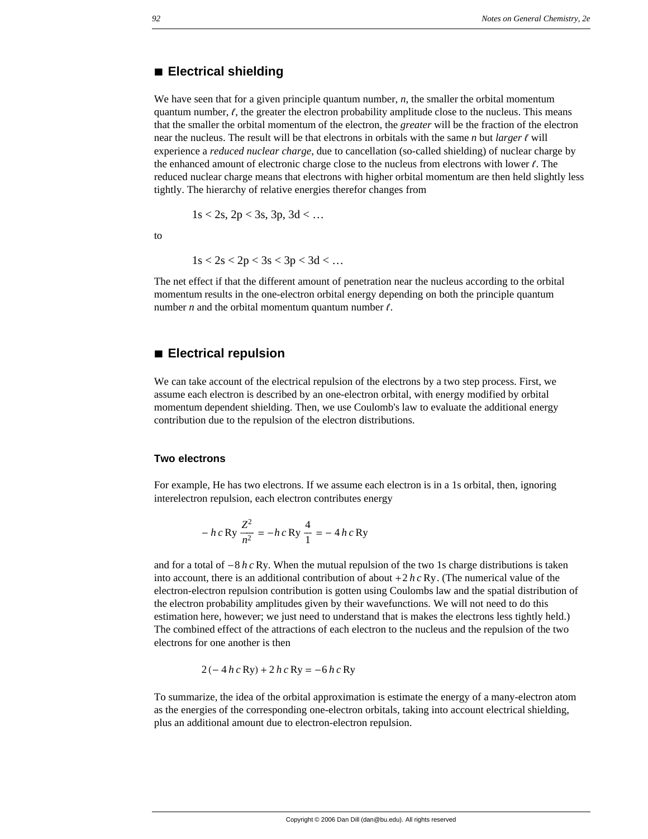#### **à Electrical shielding**

We have seen that for a given principle quantum number, *n*, the smaller the orbital momentum quantum number,  $\ell$ , the greater the electron probability amplitude close to the nucleus. This means that the smaller the orbital momentum of the electron, the *greater* will be the fraction of the electron near the nucleus. The result will be that electrons in orbitals with the same  $n$  but *larger*  $\ell$  will experience a *reduced nuclear charge*, due to cancellation (so-called shielding) of nuclear charge by the enhanced amount of electronic charge close to the nucleus from electrons with lower  $\ell$ . The reduced nuclear charge means that electrons with higher orbital momentum are then held slightly less tightly. The hierarchy of relative energies therefor changes from

$$
1s < 2s
$$
,  $2p < 3s$ ,  $3p$ ,  $3d < \dots$ 

to

$$
1s < 2s < 2p < 3s < 3p < 3d < \dots
$$

The net effect if that the different amount of penetration near the nucleus according to the orbital momentum results in the one-electron orbital energy depending on both the principle quantum number  $n$  and the orbital momentum quantum number  $\ell$ .

#### **à Electrical repulsion**

We can take account of the electrical repulsion of the electrons by a two step process. First, we assume each electron is described by an one-electron orbital, with energy modified by orbital momentum dependent shielding. Then, we use Coulomb's law to evaluate the additional energy contribution due to the repulsion of the electron distributions.

#### **Two electrons**

For example, He has two electrons. If we assume each electron is in a 1s orbital, then, ignoring interelectron repulsion, each electron contributes energy

$$
- h c \text{ Ry} \frac{Z^2}{n^2} = - h c \text{ Ry} \frac{4}{1} = - 4 h c \text{ Ry}
$$

and for a total of  $-8 h c Ry$ . When the mutual repulsion of the two 1s charge distributions is taken into account, there is an additional contribution of about +2 *h c* Ry. (The numerical value of the electron-electron repulsion contribution is gotten using Coulombs law and the spatial distribution of the electron probability amplitudes given by their wavefunctions. We will not need to do this estimation here, however; we just need to understand that is makes the electrons less tightly held.) The combined effect of the attractions of each electron to the nucleus and the repulsion of the two electrons for one another is then

$$
2(-4 h c Ry) + 2 h c Ry = -6 h c Ry
$$

To summarize, the idea of the orbital approximation is estimate the energy of a many-electron atom as the energies of the corresponding one-electron orbitals, taking into account electrical shielding, plus an additional amount due to electron-electron repulsion.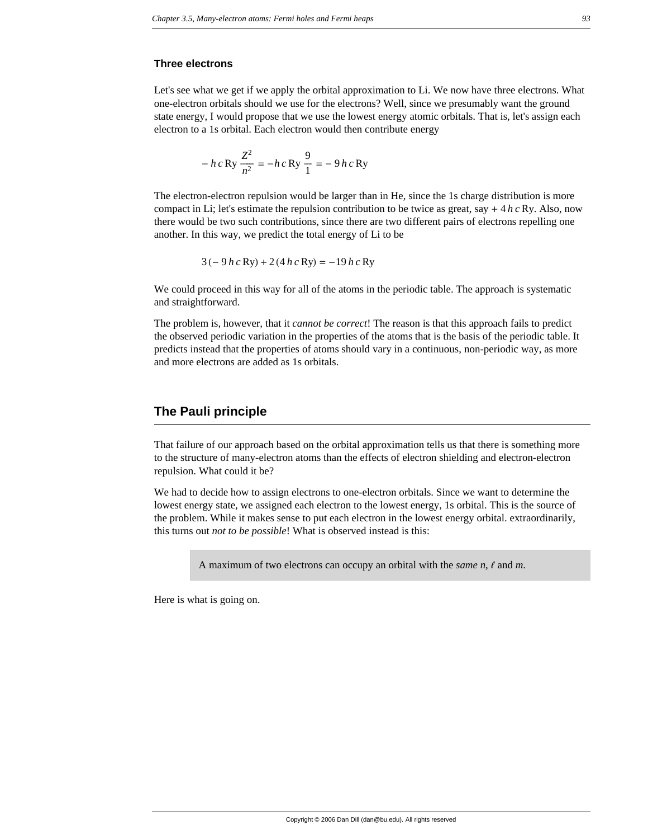#### **Three electrons**

Let's see what we get if we apply the orbital approximation to Li. We now have three electrons. What one-electron orbitals should we use for the electrons? Well, since we presumably want the ground state energy, I would propose that we use the lowest energy atomic orbitals. That is, let's assign each electron to a 1s orbital. Each electron would then contribute energy

$$
- h c \,\text{Ry} \, \frac{Z^2}{n^2} = - h c \,\text{Ry} \, \frac{9}{1} = - 9 h c \,\text{Ry}
$$

The electron-electron repulsion would be larger than in He, since the 1s charge distribution is more compact in Li; let's estimate the repulsion contribution to be twice as great, say  $+ 4 h c R y$ . Also, now there would be two such contributions, since there are two different pairs of electrons repelling one another. In this way, we predict the total energy of Li to be

$$
3(-9 h c Ry) + 2 (4 h c Ry) = -19 h c Ry
$$

We could proceed in this way for all of the atoms in the periodic table. The approach is systematic and straightforward.

The problem is, however, that it *cannot be correct*! The reason is that this approach fails to predict the observed periodic variation in the properties of the atoms that is the basis of the periodic table. It predicts instead that the properties of atoms should vary in a continuous, non-periodic way, as more and more electrons are added as 1s orbitals.

#### **The Pauli principle**

That failure of our approach based on the orbital approximation tells us that there is something more to the structure of many-electron atoms than the effects of electron shielding and electron-electron repulsion. What could it be?

We had to decide how to assign electrons to one-electron orbitals. Since we want to determine the lowest energy state, we assigned each electron to the lowest energy, 1s orbital. This is the source of the problem. While it makes sense to put each electron in the lowest energy orbital. extraordinarily, this turns out *not to be possible*! What is observed instead is this:

A maximum of two electrons can occupy an orbital with the *same* n,  $\ell$  and m.

Here is what is going on.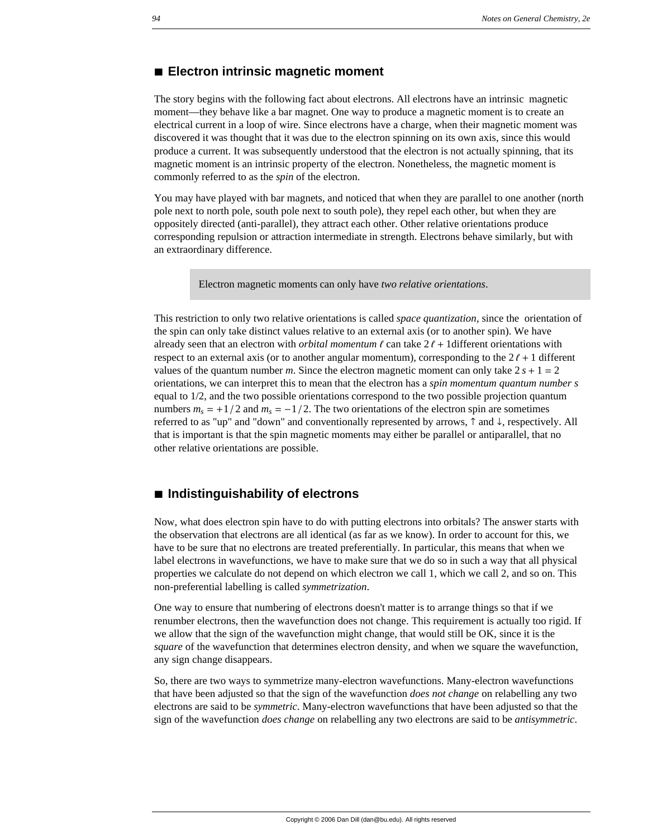#### **à Electron intrinsic magnetic moment**

The story begins with the following fact about electrons. All electrons have an intrinsic magnetic moment—they behave like a bar magnet. One way to produce a magnetic moment is to create an electrical current in a loop of wire. Since electrons have a charge, when their magnetic moment was discovered it was thought that it was due to the electron spinning on its own axis, since this would produce a current. It was subsequently understood that the electron is not actually spinning, that its magnetic moment is an intrinsic property of the electron. Nonetheless, the magnetic moment is commonly referred to as the *spin* of the electron.

You may have played with bar magnets, and noticed that when they are parallel to one another (north pole next to north pole, south pole next to south pole), they repel each other, but when they are oppositely directed (anti-parallel), they attract each other. Other relative orientations produce corresponding repulsion or attraction intermediate in strength. Electrons behave similarly, but with an extraordinary difference.

Electron magnetic moments can only have *two relative orientations*.

This restriction to only two relative orientations is called *space quantization*, since the orientation of the spin can only take distinct values relative to an external axis (or to another spin). We have already seen that an electron with *orbital momentum*  $\ell$  can take  $2\ell + 1$  different orientations with respect to an external axis (or to another angular momentum), corresponding to the  $2\ell + 1$  different values of the quantum number *m*. Since the electron magnetic moment can only take  $2s + 1 = 2$ orientations, we can interpret this to mean that the electron has a *spin momentum quantum number s* equal to 1/2, and the two possible orientations correspond to the two possible projection quantum numbers  $m_s = +1/2$  and  $m_s = -1/2$ . The two orientations of the electron spin are sometimes referred to as "up" and "down" and conventionally represented by arrows,  $\uparrow$  and  $\downarrow$ , respectively. All that is important is that the spin magnetic moments may either be parallel or antiparallel, that no other relative orientations are possible.

## **à Indistinguishability of electrons**

Now, what does electron spin have to do with putting electrons into orbitals? The answer starts with the observation that electrons are all identical (as far as we know). In order to account for this, we have to be sure that no electrons are treated preferentially. In particular, this means that when we label electrons in wavefunctions, we have to make sure that we do so in such a way that all physical properties we calculate do not depend on which electron we call 1, which we call 2, and so on. This non-preferential labelling is called *symmetrization*.

One way to ensure that numbering of electrons doesn't matter is to arrange things so that if we renumber electrons, then the wavefunction does not change. This requirement is actually too rigid. If we allow that the sign of the wavefunction might change, that would still be OK, since it is the *square* of the wavefunction that determines electron density, and when we square the wavefunction, any sign change disappears.

So, there are two ways to symmetrize many-electron wavefunctions. Many-electron wavefunctions that have been adjusted so that the sign of the wavefunction *does not change* on relabelling any two electrons are said to be *symmetric*. Many-electron wavefunctions that have been adjusted so that the sign of the wavefunction *does change* on relabelling any two electrons are said to be *antisymmetric*.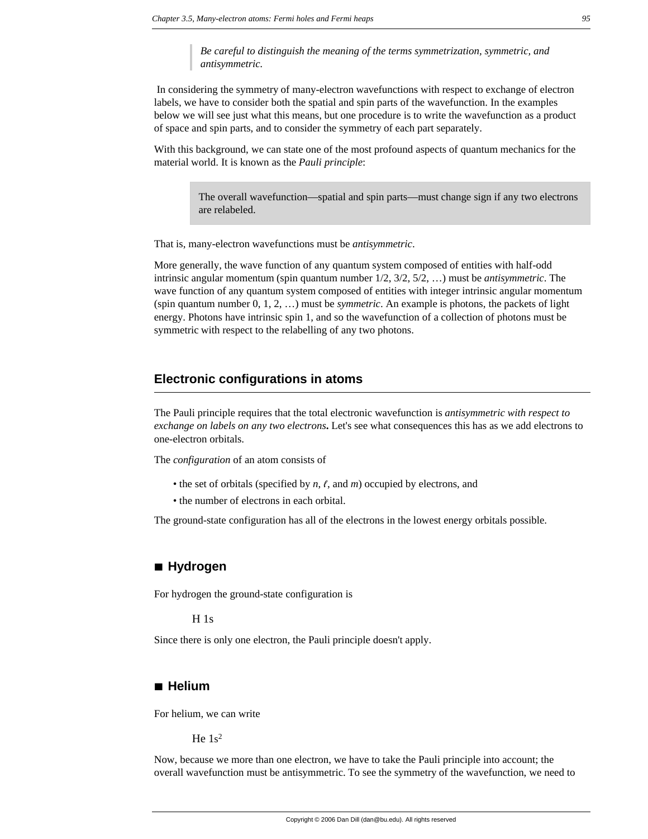*Be careful to distinguish the meaning of the terms symmetrization, symmetric, and antisymmetric.*

 In considering the symmetry of many-electron wavefunctions with respect to exchange of electron labels, we have to consider both the spatial and spin parts of the wavefunction. In the examples below we will see just what this means, but one procedure is to write the wavefunction as a product of space and spin parts, and to consider the symmetry of each part separately.

With this background, we can state one of the most profound aspects of quantum mechanics for the material world. It is known as the *Pauli principle*:

> The overall wavefunction—spatial and spin parts—must change sign if any two electrons are relabeled.

That is, many-electron wavefunctions must be *antisymmetric*.

More generally, the wave function of any quantum system composed of entities with half-odd intrinsic angular momentum (spin quantum number 1/2, 3/2, 5/2, …) must be *antisymmetric*. The wave function of any quantum system composed of entities with integer intrinsic angular momentum (spin quantum number 0, 1, 2, …) must be *symmetric*. An example is photons, the packets of light energy. Photons have intrinsic spin 1, and so the wavefunction of a collection of photons must be symmetric with respect to the relabelling of any two photons.

#### **Electronic configurations in atoms**

The Pauli principle requires that the total electronic wavefunction is *antisymmetric with respect to exchange on labels on any two electrons***.** Let's see what consequences this has as we add electrons to one-electron orbitals.

The *configuration* of an atom consists of

- the set of orbitals (specified by  $n, \ell$ , and  $m$ ) occupied by electrons, and
- the number of electrons in each orbital.

The ground-state configuration has all of the electrons in the lowest energy orbitals possible.

## **à Hydrogen**

For hydrogen the ground-state configuration is

H 1s

Since there is only one electron, the Pauli principle doesn't apply.

#### **à Helium**

For helium, we can write

He  $1s^2$ 

Now, because we more than one electron, we have to take the Pauli principle into account; the overall wavefunction must be antisymmetric. To see the symmetry of the wavefunction, we need to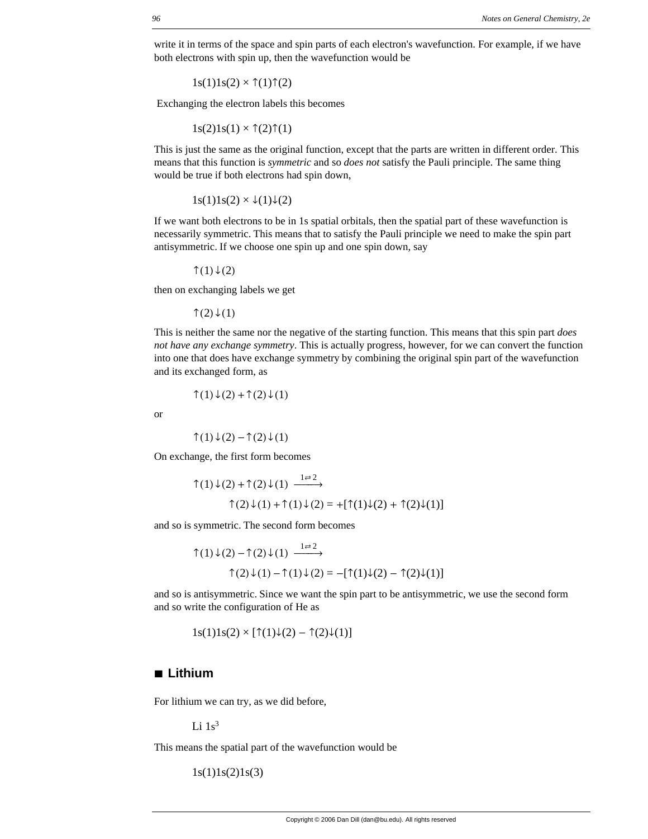write it in terms of the space and spin parts of each electron's wavefunction. For example, if we have both electrons with spin up, then the wavefunction would be

 $1s(1)1s(2) \times \uparrow(1)\uparrow(2)$ 

Exchanging the electron labels this becomes

 $1s(2)1s(1) \times \hat{T}(2)\hat{T}(1)$ 

This is just the same as the original function, except that the parts are written in different order. This means that this function is *symmetric* and so *does not* satisfy the Pauli principle. The same thing would be true if both electrons had spin down,

 $1s(1)1s(2) \times \sqrt{1}\sqrt{(2)}$ 

If we want both electrons to be in 1s spatial orbitals, then the spatial part of these wavefunction is necessarily symmetric. This means that to satisfy the Pauli principle we need to make the spin part antisymmetric. If we choose one spin up and one spin down, say

↑ $(1) \downarrow (2)$ 

then on exchanging labels we get

↑ $(2)$  ↓ $(1)$ 

This is neither the same nor the negative of the starting function. This means that this spin part *does not have any exchange symmetry*. This is actually progress, however, for we can convert the function into one that does have exchange symmetry by combining the original spin part of the wavefunction and its exchanged form, as

$$
\uparrow(1)\downarrow(2)+\uparrow(2)\downarrow(1)
$$

or

$$
\uparrow(1)\downarrow(2)-\uparrow(2)\downarrow(1)
$$

On exchange, the first form becomes

$$
\uparrow(1)\downarrow(2) + \uparrow(2)\downarrow(1) \xrightarrow{1 \rightleftarrows} \uparrow(2)\downarrow(1) + \uparrow(1)\downarrow(2) = +[\uparrow(1)\downarrow(2) + \uparrow(2)\downarrow(1)]
$$

and so is symmetric. The second form becomes

$$
\uparrow(1)\downarrow(2) - \uparrow(2)\downarrow(1) \xrightarrow{1 \rightleftarrows 2}
$$

$$
\uparrow(2)\downarrow(1) - \uparrow(1)\downarrow(2) = -[\uparrow(1)\downarrow(2) - \uparrow(2)\downarrow(1)]
$$

and so is antisymmetric. Since we want the spin part to be antisymmetric, we use the second form and so write the configuration of He as

$$
1s(1)1s(2) \times [\uparrow(1)\downarrow(2) - \uparrow(2)\downarrow(1)]
$$

## **à Lithium**

For lithium we can try, as we did before,

Li  $1s^3$ 

This means the spatial part of the wavefunction would be

 $1s(1)1s(2)1s(3)$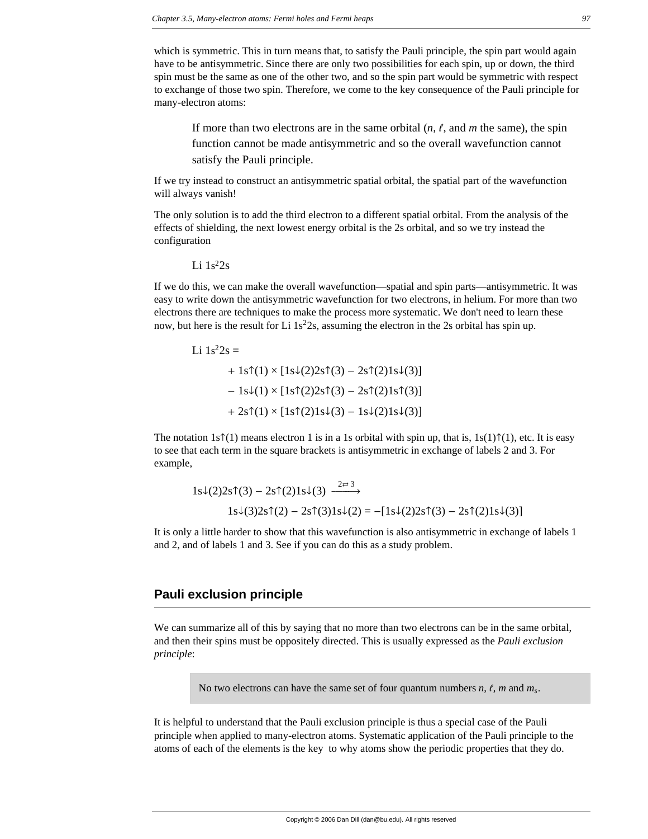which is symmetric. This in turn means that, to satisfy the Pauli principle, the spin part would again have to be antisymmetric. Since there are only two possibilities for each spin, up or down, the third spin must be the same as one of the other two, and so the spin part would be symmetric with respect to exchange of those two spin. Therefore, we come to the key consequence of the Pauli principle for many-electron atoms:

If more than two electrons are in the same orbital  $(n, \ell, \text{ and } m$  the same), the spin function cannot be made antisymmetric and so the overall wavefunction cannot satisfy the Pauli principle.

If we try instead to construct an antisymmetric spatial orbital, the spatial part of the wavefunction will always vanish!

The only solution is to add the third electron to a different spatial orbital. From the analysis of the effects of shielding, the next lowest energy orbital is the 2s orbital, and so we try instead the configuration

Li  $1s^22s$ 

If we do this, we can make the overall wavefunction—spatial and spin parts—antisymmetric. It was easy to write down the antisymmetric wavefunction for two electrons, in helium. For more than two electrons there are techniques to make the process more systematic. We don't need to learn these now, but here is the result for Li  $1s<sup>2</sup>2s$ , assuming the electron in the 2s orbital has spin up.

Li  $1s^22s$  =  $+ 1$ s $\uparrow$ (1) × [1s $\downarrow$ (2)2s $\uparrow$ (3) – 2s $\uparrow$ (2)1s $\downarrow$ (3)]  $-1s\sqrt{(1)} \times [1s\sqrt[4]{(2)}2s\sqrt[4]{(3)} - 2s\sqrt[4]{(2)}1s\sqrt[4]{(3)}]$  $+ 2s(1) \times [1s(2)]s\sqrt{3} - 1s\sqrt{2}1s\sqrt{3}]$ 

The notation 1s $\hat{\tau}(1)$  means electron 1 is in a 1s orbital with spin up, that is,  $1s(1)\hat{\tau}(1)$ , etc. It is easy to see that each term in the square brackets is antisymmetric in exchange of labels 2 and 3. For example,

$$
1s\downarrow(2)2s\uparrow(3) - 2s\uparrow(2)1s\downarrow(3) \xrightarrow{2\rightleftarrows} 1s\downarrow(3)2s\uparrow(2) - 2s\uparrow(3)1s\downarrow(2) = -[1s\downarrow(2)2s\uparrow(3) - 2s\uparrow(2)1s\downarrow(3)]
$$

It is only a little harder to show that this wavefunction is also antisymmetric in exchange of labels 1 and 2, and of labels 1 and 3. See if you can do this as a study problem.

## **Pauli exclusion principle**

We can summarize all of this by saying that no more than two electrons can be in the same orbital, and then their spins must be oppositely directed. This is usually expressed as the *Pauli exclusion principle*:

No two electrons can have the same set of four quantum numbers  $n, \ell, m$  and  $m_s$ .

It is helpful to understand that the Pauli exclusion principle is thus a special case of the Pauli principle when applied to many-electron atoms. Systematic application of the Pauli principle to the atoms of each of the elements is the key to why atoms show the periodic properties that they do.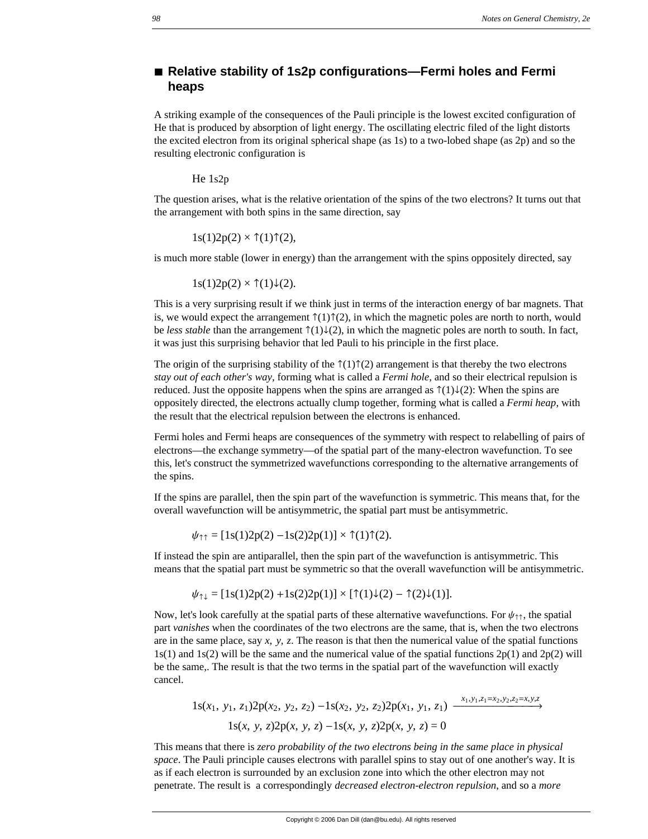## ■ **Relative stability of 1s2p configurations—Fermi holes and Fermi heaps**

A striking example of the consequences of the Pauli principle is the lowest excited configuration of He that is produced by absorption of light energy. The oscillating electric filed of the light distorts the excited electron from its original spherical shape (as 1s) to a two-lobed shape (as 2p) and so the resulting electronic configuration is

He 1s2p

The question arises, what is the relative orientation of the spins of the two electrons? It turns out that the arrangement with both spins in the same direction, say

 $1s(1)2p(2) \times \tau(1)\tau(2)$ ,

is much more stable (lower in energy) than the arrangement with the spins oppositely directed, say

 $1s(1)2p(2) \times \uparrow(1)\downarrow(2)$ .

This is a very surprising result if we think just in terms of the interaction energy of bar magnets. That is, we would expect the arrangement  $\hat{\tau}(1)\hat{\tau}(2)$ , in which the magnetic poles are north to north, would be *less stable* than the arrangement  $\hat{\tau}(1)\downarrow(2)$ , in which the magnetic poles are north to south. In fact, it was just this surprising behavior that led Pauli to his principle in the first place.

The origin of the surprising stability of the  $\hat{\tau}(1)\hat{\tau}(2)$  arrangement is that thereby the two electrons *stay out of each other's way*, forming what is called a *Fermi hole*, and so their electrical repulsion is reduced. Just the opposite happens when the spins are arranged as  $\hat{\tau}(1)\downarrow(2)$ : When the spins are oppositely directed, the electrons actually clump together, forming what is called a *Fermi heap*, with the result that the electrical repulsion between the electrons is enhanced.

Fermi holes and Fermi heaps are consequences of the symmetry with respect to relabelling of pairs of electrons—the exchange symmetry—of the spatial part of the many-electron wavefunction. To see this, let's construct the symmetrized wavefunctions corresponding to the alternative arrangements of the spins.

If the spins are parallel, then the spin part of the wavefunction is symmetric. This means that, for the overall wavefunction will be antisymmetric, the spatial part must be antisymmetric.

 $\psi_{\uparrow\uparrow} = [1s(1)2p(2) - 1s(2)2p(1)] \times \uparrow(1)\uparrow(2).$ 

If instead the spin are antiparallel, then the spin part of the wavefunction is antisymmetric. This means that the spatial part must be symmetric so that the overall wavefunction will be antisymmetric.

$$
\psi_{\uparrow\downarrow} = [1s(1)2p(2) + 1s(2)2p(1)] \times [\uparrow(1)\downarrow(2) - \uparrow(2)\downarrow(1)].
$$

Now, let's look carefully at the spatial parts of these alternative wavefunctions. For  $\psi_{\uparrow\uparrow}$ , the spatial part *vanishes* when the coordinates of the two electrons are the same, that is, when the two electrons are in the same place, say *x*, *y*, *z*. The reason is that then the numerical value of the spatial functions  $1s(1)$  and  $1s(2)$  will be the same and the numerical value of the spatial functions  $2p(1)$  and  $2p(2)$  will be the same,. The result is that the two terms in the spatial part of the wavefunction will exactly cancel.

$$
1s(x_1, y_1, z_1)2p(x_2, y_2, z_2) - 1s(x_2, y_2, z_2)2p(x_1, y_1, z_1) \xrightarrow{x_1, y_1, z_1=x_2, y_2, z_2=x, y, z}
$$

$$
1s(x, y, z)2p(x, y, z) - 1s(x, y, z)2p(x, y, z) = 0
$$

This means that there is *zero probability of the two electrons being in the same place in physical space*. The Pauli principle causes electrons with parallel spins to stay out of one another's way. It is as if each electron is surrounded by an exclusion zone into which the other electron may not penetrate. The result is a correspondingly *decreased electron-electron repulsion*, and so a *more*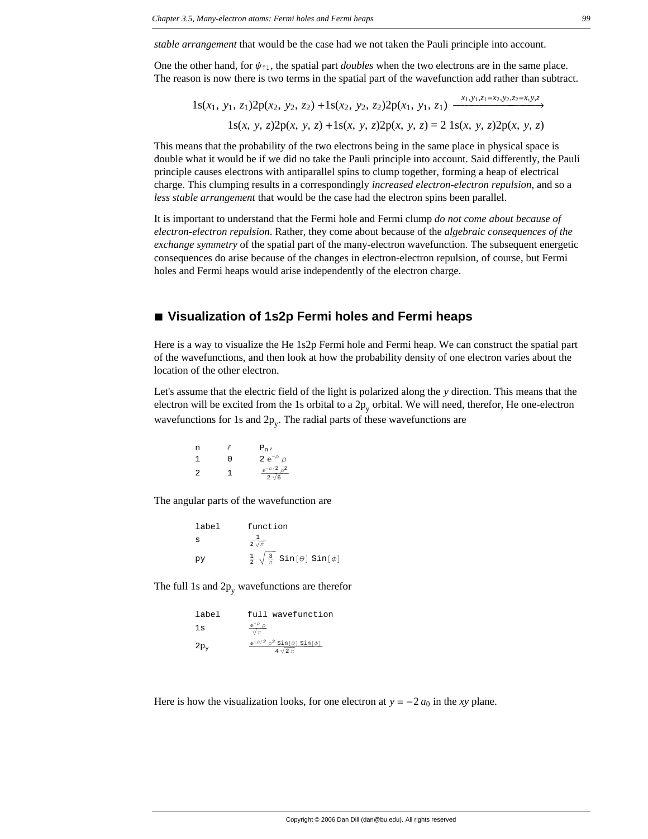*stable arrangement* that would be the case had we not taken the Pauli principle into account.

One the other hand, for  $\psi_{\uparrow\downarrow}$ , the spatial part *doubles* when the two electrons are in the same place. The reason is now there is two terms in the spatial part of the wavefunction add rather than subtract.

 $1s(x_1, y_1, z_1)2p(x_2, y_2, z_2) + 1s(x_2, y_2, z_2)2p(x_1, y_1, z_1) \xrightarrow{x_1, y_1, z_1=x_2, y_2, z_2=x, y, z}$ 1s(*x*, *y*, *z*)2p(*x*, *y*, *z*) +1s(*x*, *y*, *z*)2p(*x*, *y*, *z*) = 2 1s(*x*, *y*, *z*)2p(*x*, *y*, *z*)

This means that the probability of the two electrons being in the same place in physical space is double what it would be if we did no take the Pauli principle into account. Said differently, the Pauli principle causes electrons with antiparallel spins to clump together, forming a heap of electrical charge. This clumping results in a correspondingly *increased electron-electron repulsion*, and so a *less stable arrangement* that would be the case had the electron spins been parallel.

It is important to understand that the Fermi hole and Fermi clump *do not come about because of electron-electron repulsion*. Rather, they come about because of the *algebraic consequences of the exchange symmetry* of the spatial part of the many-electron wavefunction. The subsequent energetic consequences do arise because of the changes in electron-electron repulsion, of course, but Fermi holes and Fermi heaps would arise independently of the electron charge.

#### **à Visualization of 1s2p Fermi holes and Fermi heaps**

Here is a way to visualize the He 1s2p Fermi hole and Fermi heap. We can construct the spatial part of the wavefunctions, and then look at how the probability density of one electron varies about the location of the other electron.

Let's assume that the electric field of the light is polarized along the *y* direction. This means that the electron will be excited from the 1s orbital to a  $2p_v$  orbital. We will need, therefor, He one-electron wavefunctions for 1s and  $2p_v$ . The radial parts of these wavefunctions are

| n |   | $P_{n\ell}$                         |
|---|---|-------------------------------------|
| 1 | O | 2 $e^{-\rho}$ $\rho$                |
| 2 | 1 | $e^{-\rho/2} \rho^2$<br>$2\sqrt{6}$ |

The angular parts of the wavefunction are

| label | function                                                         |
|-------|------------------------------------------------------------------|
| s     | $2\sqrt{\pi}$                                                    |
| ЮV    | $\frac{1}{2} \sqrt{\frac{3}{\pi}}$ Sin[ $\theta$ ] Sin[ $\phi$ ] |

The full 1s and  $2p_v$  wavefunctions are therefor

| label  | full wavefunction                                              |
|--------|----------------------------------------------------------------|
| 1s     | $\frac{e^{-\rho} \rho}{\sqrt{\pi}}$                            |
| $2p_v$ | $e^{-\rho/2} \rho^2 \sin[\theta] \sin[\phi]$<br>$4\sqrt{2}\pi$ |

Here is how the visualization looks, for one electron at  $y = -2 a_0$  in the *xy* plane.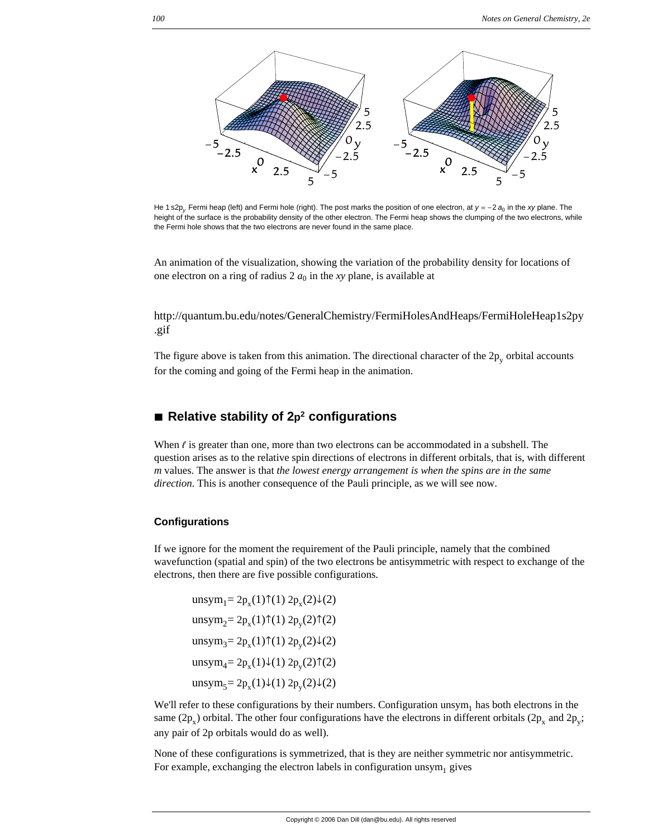

He 1 s2p<sub>v</sub>. Fermi heap (left) and Fermi hole (right). The post marks the position of one electron, at  $y = -2 a<sub>0</sub>$  in the *xy* plane. The height of the surface is the probability density of the other electron. The Fermi heap shows the clumping of the two electrons, while the Fermi hole shows that the two electrons are never found in the same place.

An animation of the visualization, showing the variation of the probability density for locations of one electron on a ring of radius  $2 a_0$  in the *xy* plane, is available at

http://quantum.bu.edu/notes/GeneralChemistry/FermiHolesAndHeaps/FermiHoleHeap1s2py .gif

The figure above is taken from this animation. The directional character of the  $2p_v$  orbital accounts for the coming and going of the Fermi heap in the animation.

## ■ Relative stability of 2<sub>p</sub><sup>2</sup> configurations

When  $\ell$  is greater than one, more than two electrons can be accommodated in a subshell. The question arises as to the relative spin directions of electrons in different orbitals, that is, with different *m* values. The answer is that *the lowest energy arrangement is when the spins are in the same direction*. This is another consequence of the Pauli principle, as we will see now.

#### **Configurations**

If we ignore for the moment the requirement of the Pauli principle, namely that the combined wavefunction (spatial and spin) of the two electrons be antisymmetric with respect to exchange of the electrons, then there are five possible configurations.

unsym<sub>1</sub>=  $2p_x(1)$  $\uparrow$ (1)  $2p_x(2) \downarrow$ (2) unsym<sub>2</sub>= 2p<sub>x</sub>(1) $\uparrow$ (1) 2p<sub>y</sub>(2) $\uparrow$ (2) unsym<sub>3</sub>=  $2p_x(1)$  $\uparrow$ (1)  $2p_y(2) \downarrow$ (2) unsym<sub>4</sub>=  $2p_x(1)\downarrow(1) 2p_y(2)\uparrow(2)$ unsym<sub>5</sub>= 2p<sub>x</sub>(1) $\downarrow$ (1) 2p<sub>y</sub>(2) $\downarrow$ (2)

We'll refer to these configurations by their numbers. Configuration  $\text{unsym}_1$  has both electrons in the same (2p<sub>x</sub>) orbital. The other four configurations have the electrons in different orbitals (2p<sub>x</sub> and 2p<sub>y</sub>; any pair of 2p orbitals would do as well).

None of these configurations is symmetrized, that is they are neither symmetric nor antisymmetric. For example, exchanging the electron labels in configuration unsym<sub>1</sub> gives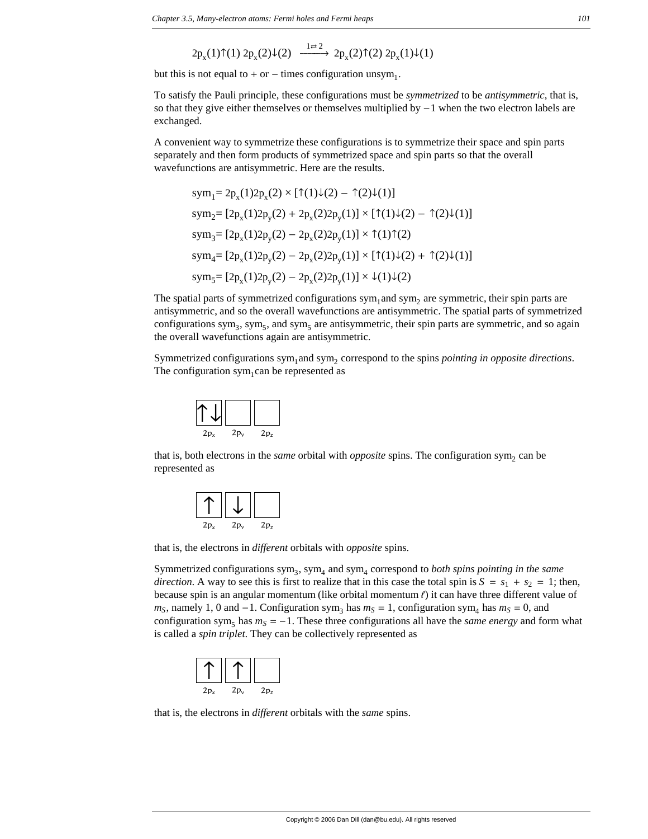$$
2p_x(1)\uparrow(1) 2p_x(2)\downarrow(2) \xrightarrow{1\rightleftarrows} 2p_x(2)\uparrow(2) 2p_x(1)\downarrow(1)
$$

but this is not equal to  $+$  or  $-$  times configuration unsym<sub>1</sub>.

To satisfy the Pauli principle, these configurations must be *symmetrized* to be *antisymmetric*, that is, so that they give either themselves or themselves multiplied by  $-1$  when the two electron labels are exchanged.

A convenient way to symmetrize these configurations is to symmetrize their space and spin parts separately and then form products of symmetrized space and spin parts so that the overall wavefunctions are antisymmetric. Here are the results.

$$
sym_1 = 2p_x(1)2p_x(2) \times [\uparrow(1)\downarrow(2) - \uparrow(2)\downarrow(1)]
$$
  
\n
$$
sym_2 = [2p_x(1)2p_y(2) + 2p_x(2)2p_y(1)] \times [\uparrow(1)\downarrow(2) - \uparrow(2)\downarrow(1)]
$$
  
\n
$$
sym_3 = [2p_x(1)2p_y(2) - 2p_x(2)2p_y(1)] \times \uparrow(1)\uparrow(2)
$$
  
\n
$$
sym_4 = [2p_x(1)2p_y(2) - 2p_x(2)2p_y(1)] \times [\uparrow(1)\downarrow(2) + \uparrow(2)\downarrow(1)]
$$
  
\n
$$
sym_5 = [2p_x(1)2p_y(2) - 2p_x(2)2p_y(1)] \times \downarrow(1)\downarrow(2)
$$

The spatial parts of symmetrized configurations  $sym_1$  and  $sym_2$  are symmetric, their spin parts are antisymmetric, and so the overall wavefunctions are antisymmetric. The spatial parts of symmetrized configurations sym<sub>3</sub>, sym<sub>5</sub>, and sym<sub>5</sub> are antisymmetric, their spin parts are symmetric, and so again the overall wavefunctions again are antisymmetric.

Symmetrized configurations sym<sub>1</sub> and sym<sub>2</sub> correspond to the spins *pointing in opposite directions*. The configuration sym<sub>1</sub>can be represented as



that is, both electrons in the *same* orbital with *opposite* spins. The configuration sym<sub>2</sub> can be represented as

| $2p_x$ | $2p_v$ | 2p <sub>z</sub> |
|--------|--------|-----------------|

that is, the electrons in *different* orbitals with *opposite* spins.

Symmetrized configurations sym<sub>3</sub>, sym<sub>4</sub> and sym<sub>4</sub> correspond to *both spins pointing in the same direction*. A way to see this is first to realize that in this case the total spin is  $S = s_1 + s_2 = 1$ ; then, because spin is an angular momentum (like orbital momentum  $\ell$ ) it can have three different value of  $m<sub>S</sub>$ , namely 1, 0 and  $-1$ . Configuration sym<sub>3</sub> has  $m<sub>S</sub> = 1$ , configuration sym<sub>4</sub> has  $m<sub>S</sub> = 0$ , and configuration sym<sub>5</sub> has  $m<sub>S</sub> = -1$ . These three configurations all have the *same energy* and form what is called a *spin triplet*. They can be collectively represented as



that is, the electrons in *different* orbitals with the *same* spins.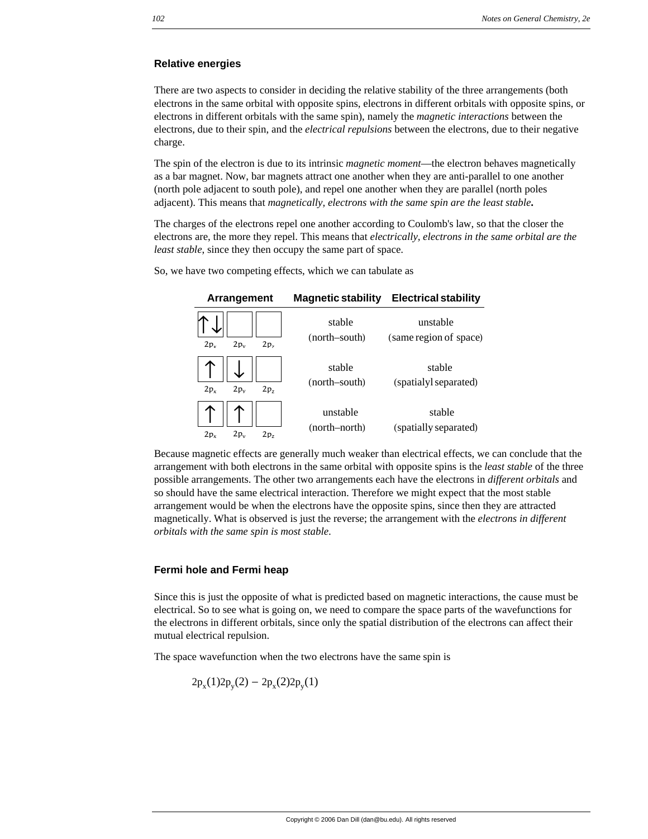#### **Relative energies**

There are two aspects to consider in deciding the relative stability of the three arrangements (both electrons in the same orbital with opposite spins, electrons in different orbitals with opposite spins, or electrons in different orbitals with the same spin), namely the *magnetic interactions* between the electrons, due to their spin, and the *electrical repulsions* between the electrons, due to their negative charge.

The spin of the electron is due to its intrinsic *magnetic moment*—the electron behaves magnetically as a bar magnet. Now, bar magnets attract one another when they are anti-parallel to one another (north pole adjacent to south pole), and repel one another when they are parallel (north poles adjacent). This means that *magnetically, electrons with the same spin are the least stable***.**

The charges of the electrons repel one another according to Coulomb's law, so that the closer the electrons are, the more they repel. This means that *electrically, electrons in the same orbital are the least stable*, since they then occupy the same part of space.

So, we have two competing effects, which we can tabulate as

| Arrangement                                  | <b>Magnetic stability</b> | <b>Electrical stability</b>        |
|----------------------------------------------|---------------------------|------------------------------------|
| $2p_v$<br>2p <sub>z</sub><br>2p <sub>x</sub> | stable<br>(north–south)   | unstable<br>(same region of space) |
| $2p_v$<br>2p <sub>z</sub><br>$2p_v$          | stable<br>(north-south)   | stable<br>(spatialyl separated)    |
| $2p_v$<br>2p <sub>7</sub><br>2p <sub>x</sub> | unstable<br>(north-north) | stable<br>(spatially separated)    |

Because magnetic effects are generally much weaker than electrical effects, we can conclude that the arrangement with both electrons in the same orbital with opposite spins is the *least stable* of the three possible arrangements. The other two arrangements each have the electrons in *different orbitals* and so should have the same electrical interaction. Therefore we might expect that the most stable arrangement would be when the electrons have the opposite spins, since then they are attracted magnetically. What is observed is just the reverse; the arrangement with the *electrons in different orbitals with the same spin is most stable*.

#### **Fermi hole and Fermi heap**

Since this is just the opposite of what is predicted based on magnetic interactions, the cause must be electrical. So to see what is going on, we need to compare the space parts of the wavefunctions for the electrons in different orbitals, since only the spatial distribution of the electrons can affect their mutual electrical repulsion.

The space wavefunction when the two electrons have the same spin is

$$
2p_x(1)2p_y(2) - 2p_x(2)2p_y(1)
$$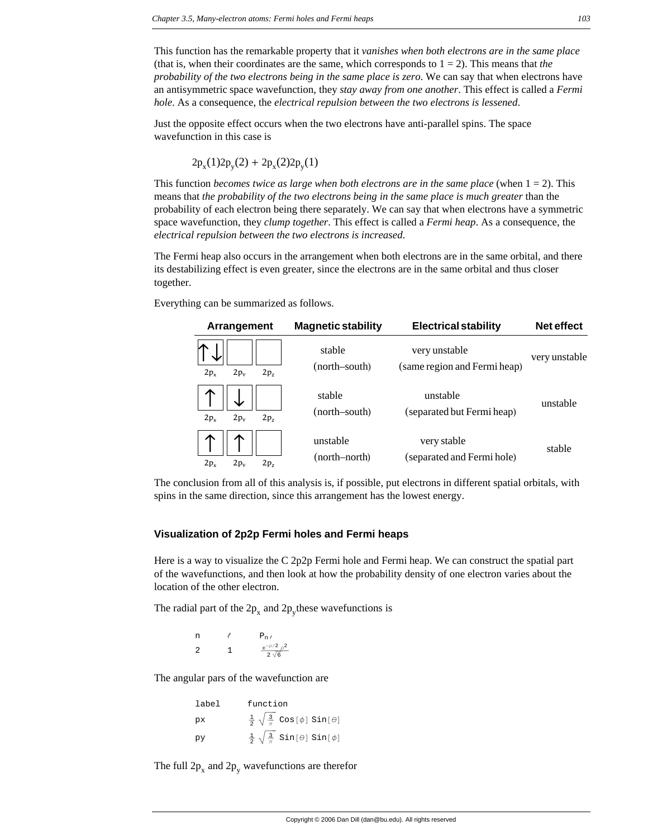This function has the remarkable property that it *vanishes when both electrons are in the same place* (that is, when their coordinates are the same, which corresponds to  $1 = 2$ ). This means that *the probability of the two electrons being in the same place is zero*. We can say that when electrons have an antisymmetric space wavefunction, they *stay away from one another*. This effect is called a *Fermi hole*. As a consequence, the *electrical repulsion between the two electrons is lessened*.

Just the opposite effect occurs when the two electrons have anti-parallel spins. The space wavefunction in this case is

$$
2p_x(1)2p_y(2) + 2p_x(2)2p_y(1)
$$

This function *becomes twice as large when both electrons are in the same place* (when  $1 = 2$ ). This means that *the probability of the two electrons being in the same place is much greater* than the probability of each electron being there separately. We can say that when electrons have a symmetric space wavefunction, they *clump together*. This effect is called a *Fermi heap*. As a consequence, the *electrical repulsion between the two electrons is increased*.

The Fermi heap also occurs in the arrangement when both electrons are in the same orbital, and there its destabilizing effect is even greater, since the electrons are in the same orbital and thus closer together.

Everything can be summarized as follows.

| Arrangement                                  | <b>Magnetic stability</b> | <b>Electrical stability</b>                   | Net effect    |
|----------------------------------------------|---------------------------|-----------------------------------------------|---------------|
| 2p <sub>x</sub><br>$2p_v$<br>2p <sub>7</sub> | stable<br>(north–south)   | very unstable<br>(same region and Fermi heap) | very unstable |
| $2p_v$<br>2p <sub>x</sub><br>2p <sub>7</sub> | stable<br>(north–south)   | unstable<br>(separated but Fermi heap)        | unstable      |
| 2p <sub>x</sub><br>$2p_v$<br>2p <sub>7</sub> | unstable<br>(north–north) | very stable<br>(separated and Fermi hole)     | stable        |

The conclusion from all of this analysis is, if possible, put electrons in different spatial orbitals, with spins in the same direction, since this arrangement has the lowest energy.

#### **Visualization of 2p2p Fermi holes and Fermi heaps**

Here is a way to visualize the C 2p2p Fermi hole and Fermi heap. We can construct the spatial part of the wavefunctions, and then look at how the probability density of one electron varies about the location of the other electron.

The radial part of the  $2p_x$  and  $2p_y$  these wavefunctions is

n  $P_{n \ell}$ 2 1  $\frac{e^{-\rho/2} \rho^2}{2 \sqrt{6}}$ 

The angular pars of the wavefunction are

| label | function                                                         |
|-------|------------------------------------------------------------------|
| pх    | $\frac{1}{2} \sqrt{\frac{3}{\pi}}$ Cos[ $\phi$ ] Sin[ $\theta$ ] |
| py    | $\frac{1}{2} \sqrt{\frac{3}{\pi}}$ Sin[ $\theta$ ] Sin[ $\phi$ ] |

The full  $2p_x$  and  $2p_y$  wavefunctions are therefor